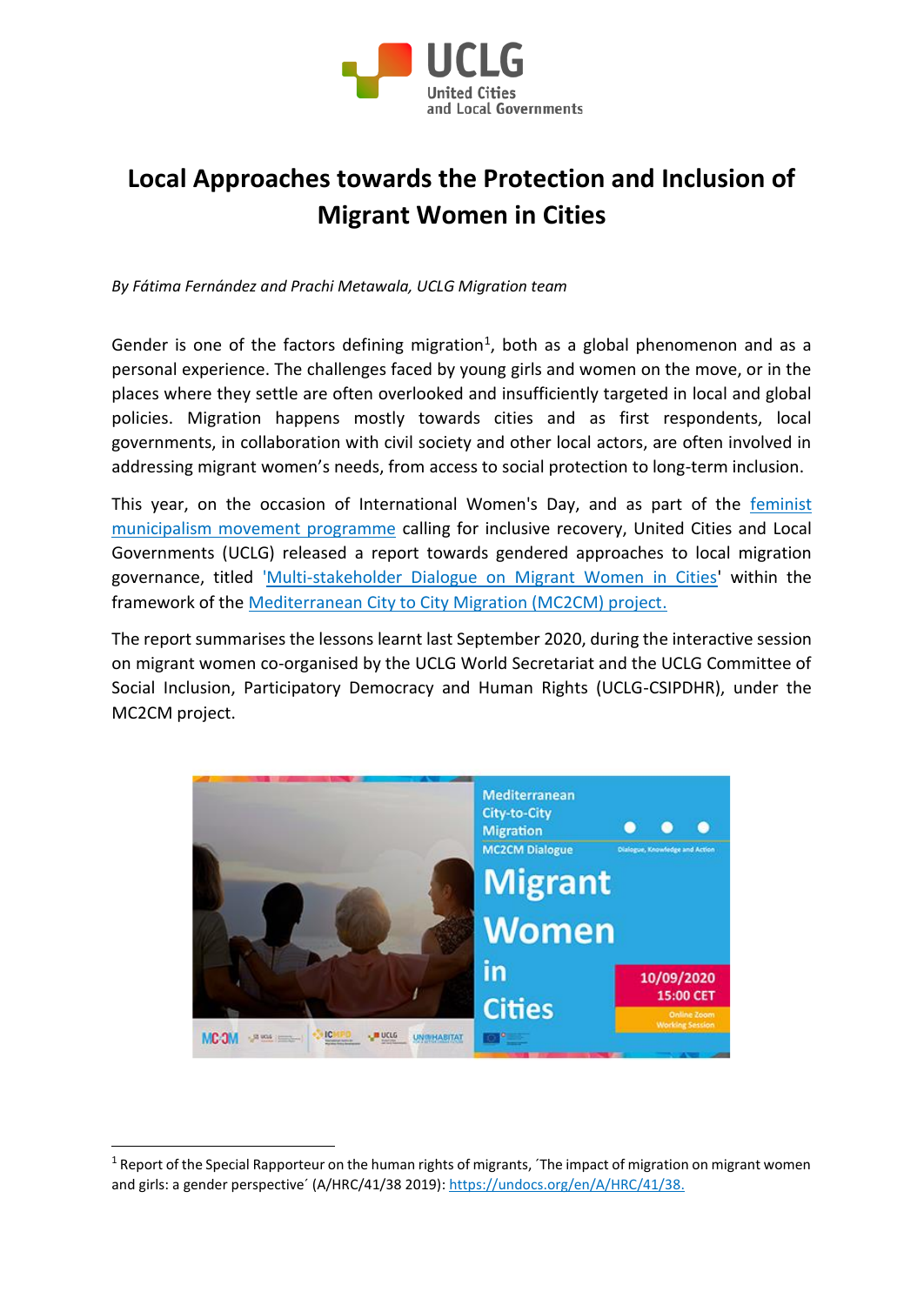

## **Local Approaches towards the Protection and Inclusion of Migrant Women in Cities**

*By Fátima Fernández and Prachi Metawala, UCLG Migration team*

Gender is one of the factors defining migration<sup>1</sup>, both as a global phenomenon and as a personal experience. The challenges faced by young girls and women on the move, or in the places where they settle are often overlooked and insufficiently targeted in local and global policies. Migration happens mostly towards cities and as first respondents, local governments, in collaboration with civil society and other local actors, are often involved in addressing migrant women's needs, from access to social protection to long-term inclusion.

This year, on the occasion of International Women's Day, and as part of the [feminist](https://women.uclg.org/)  [municipalism movement programme](https://women.uclg.org/) calling for inclusive recovery, United Cities and Local Governments (UCLG) released a report towards gendered approaches to local migration governance, titled ['Multi-stakeholder Dialogue on Migrant Women in Cities'](https://uclg-cisdp.org/sites/default/files/MC2CM%20Dialogue%20on%20Migrant%20Women_aaff.pdf) within the framework of the [Mediterranean City to City Migration \(MC2CM\) project.](https://app.mural.co/t/uclglearning2791/m/uclglearning2791/1599573782600/ee966ad5190e0c161f15899318df90d0e84aba91)

The report summarises the lessons learnt last September 2020, during the interactive session on migrant women co-organised by the UCLG World Secretariat and the UCLG Committee of Social Inclusion, Participatory Democracy and Human Rights (UCLG-CSIPDHR), under the MC2CM project.



 $1$  Report of the Special Rapporteur on the human rights of migrants, *The impact of migration on migrant women* and girls: a gender perspective' (A/HRC/41/38 2019): [https://undocs.org/en/A/HRC/41/38.](https://undocs.org/en/A/HRC/41/38)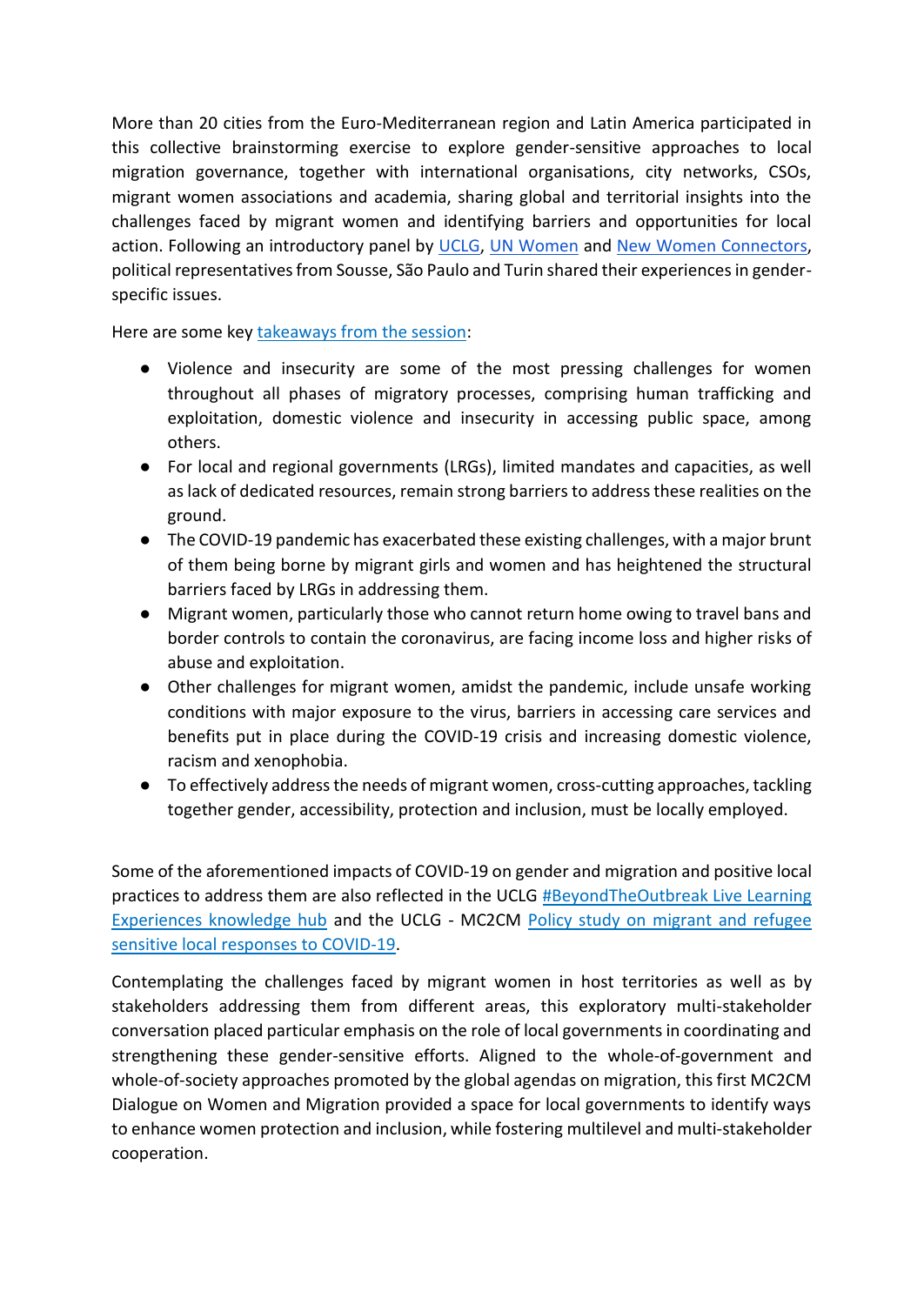More than 20 cities from the Euro-Mediterranean region and Latin America participated in this collective brainstorming exercise to explore gender-sensitive approaches to local migration governance, together with international organisations, city networks, CSOs, migrant women associations and academia, sharing global and territorial insights into the challenges faced by migrant women and identifying barriers and opportunities for local action. Following an introductory panel by [UCLG,](https://www.uclg.org/) [UN Women](https://www.unwomen.org/en) and [New Women Connectors,](https://www.newwomenconnectors.com/) political representatives from Sousse, São Paulo and Turin shared their experiences in genderspecific issues.

Here are some key [takeaways from the session:](https://www.uclg.org/fr/media/nouvelles/vers-de-meilleures-villes-pour-les-femmes-migrantes)

- Violence and insecurity are some of the most pressing challenges for women throughout all phases of migratory processes, comprising human trafficking and exploitation, domestic violence and insecurity in accessing public space, among others.
- For local and regional governments (LRGs), limited mandates and capacities, as well as lack of dedicated resources, remain strong barriers to address these realities on the ground.
- The COVID-19 pandemic has exacerbated these existing challenges, with a major brunt of them being borne by migrant girls and women and has heightened the structural barriers faced by LRGs in addressing them.
- Migrant women, particularly those who cannot return home owing to travel bans and border controls to contain the coronavirus, are facing income loss and higher risks of abuse and exploitation.
- Other challenges for migrant women, amidst the pandemic, include unsafe working conditions with major exposure to the virus, barriers in accessing care services and benefits put in place during the COVID-19 crisis and increasing domestic violence, racism and xenophobia.
- To effectively address the needs of migrant women, cross-cutting approaches, tackling together gender, accessibility, protection and inclusion, must be locally employed.

Some of the aforementioned impacts of COVID-19 on gender and migration and positive local practices to address them are also reflected in the UCLG [#BeyondTheOutbreak Live Learning](https://www.beyondtheoutbreak.uclg.org/about)  [Experiences knowledge hub](https://www.beyondtheoutbreak.uclg.org/about) and the UCLG - MC2CM [Policy study on migrant and refugee](https://www.uclg.org/sites/default/files/covid-19_study_going_the_social_distance_en.pdf)  [sensitive local responses to COVID-19.](https://www.uclg.org/sites/default/files/covid-19_study_going_the_social_distance_en.pdf)

Contemplating the challenges faced by migrant women in host territories as well as by stakeholders addressing them from different areas, this exploratory multi-stakeholder conversation placed particular emphasis on the role of local governments in coordinating and strengthening these gender-sensitive efforts. Aligned to the whole-of-government and whole-of-society approaches promoted by the global agendas on migration, this first MC2CM Dialogue on Women and Migration provided a space for local governments to identify ways to enhance women protection and inclusion, while fostering multilevel and multi-stakeholder cooperation.